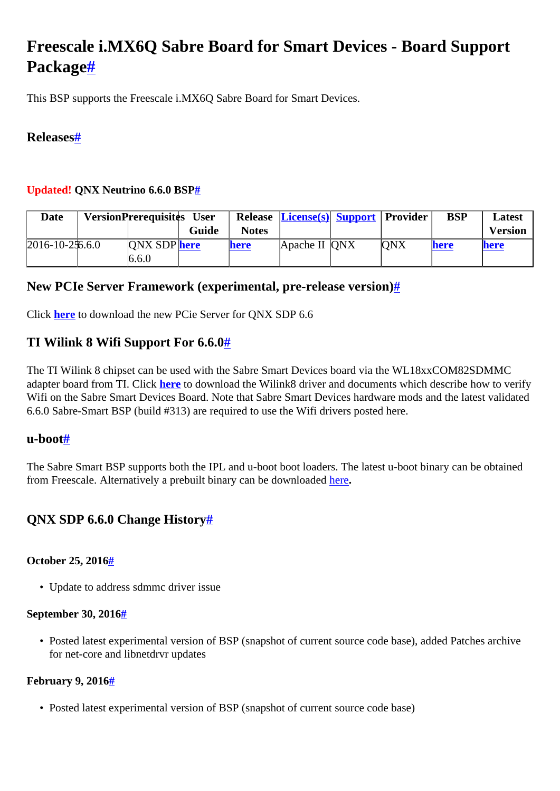# <span id="page-0-0"></span>**Freescale i.MX6Q Sabre Board for Smart Devices - Board Support Packag[e#](#page-0-0)**

This BSP supports the Freescale i.MX6Q Sabre Board for Smart Devices.

## <span id="page-0-1"></span>**Release[s#](#page-0-1)**

## <span id="page-0-2"></span>**Updated! QNX Neutrino 6.6.0 BS[P#](#page-0-2)**

| <b>Date</b>          | VersionPrerequisites User |       |              | <b>Release License(s) Support Provider</b> |     | <b>BSP</b> | Latest         |
|----------------------|---------------------------|-------|--------------|--------------------------------------------|-----|------------|----------------|
|                      |                           | Guide | <b>Notes</b> |                                            |     |            | <b>Version</b> |
| $2016 - 10 - 256.60$ | <b>ONX SDP</b> here       |       | here         | Apache II QNX                              | ONX | here       | <b>here</b>    |
|                      | 6.6.0                     |       |              |                                            |     |            |                |

## <span id="page-0-3"></span>**New PCIe Server Framework (experimental, pre-release version)[#](#page-0-3)**

Click **[here](http://community.qnx.com/sf/wiki/do/viewPage/projects.bsp/wiki/ExperimentalDriversAndUtilities)** to download the new PCie Server for QNX SDP 6.6

# <span id="page-0-4"></span>**TI Wilink 8 Wifi Support For 6.6.[0#](#page-0-4)**

The TI Wilink 8 chipset can be used with the Sabre Smart Devices board via the WL18xxCOM82SDMMC adapter board from TI. Click **[here](http://community.qnx.com/sf/go/projects.bsp/frs.freescale_i_mx6q_sabre_board_for.ti_wilink8_wifi_driver)** to download the Wilink8 driver and documents which describe how to verify Wifi on the Sabre Smart Devices Board. Note that Sabre Smart Devices hardware mods and the latest validated 6.6.0 Sabre-Smart BSP (build #313) are required to use the Wifi drivers posted here.

## <span id="page-0-5"></span>**u-boo[t#](#page-0-5)**

The Sabre Smart BSP supports both the IPL and u-boot boot loaders. The latest u-boot binary can be obtained from Freescale. Alternatively a prebuilt binary can be downloaded [here](http://community.qnx.com/sf/frs/do/viewRelease/projects.bsp/frs.freescale_i_mx6q_sabre_board_for.sabre_smart_u_boot?_message=1447101238292)**.**

# <span id="page-0-6"></span>**QNX SDP 6.6.0 Change Histor[y#](#page-0-6)**

## <span id="page-0-7"></span>**October 25, 201[6#](#page-0-7)**

• Update to address sdmmc driver issue

#### <span id="page-0-8"></span>**September 30, 2016[#](#page-0-8)**

• Posted latest experimental version of BSP (snapshot of current source code base), added Patches archive for net-core and libnetdrvr updates

## <span id="page-0-9"></span>**February 9, 201[6#](#page-0-9)**

• Posted latest experimental version of BSP (snapshot of current source code base)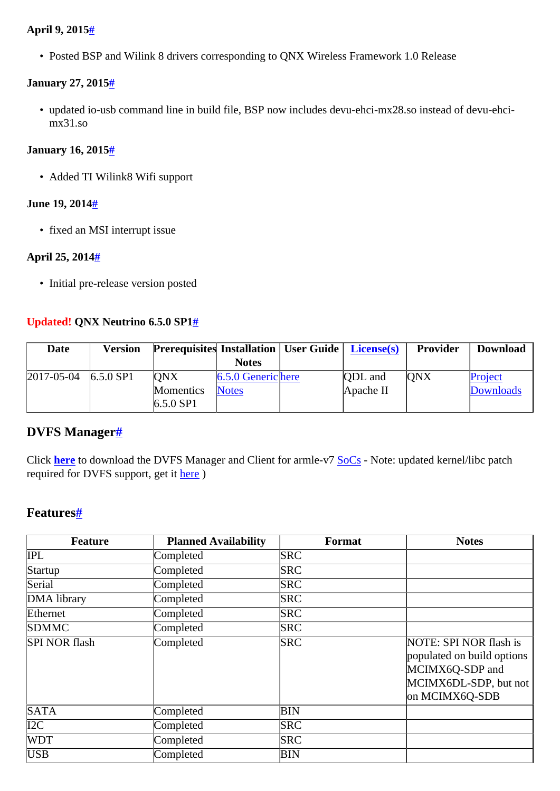## <span id="page-1-0"></span>**April 9, 2015[#](#page-1-0)**

• Posted BSP and Wilink 8 drivers corresponding to QNX Wireless Framework 1.0 Release

#### <span id="page-1-1"></span>**January 27, 201[5#](#page-1-1)**

• updated io-usb command line in build file, BSP now includes devu-ehci-mx28.so instead of devu-ehcimx31.so

#### <span id="page-1-2"></span>**January 16, 201[5#](#page-1-2)**

• Added TI Wilink8 Wifi support

#### <span id="page-1-3"></span>**June 19, 201[4#](#page-1-3)**

• fixed an MSI interrupt issue

#### <span id="page-1-4"></span>**April 25, 2014[#](#page-1-4)**

• Initial pre-release version posted

## <span id="page-1-5"></span>**Updated! QNX Neutrino 6.5.0 SP[1#](#page-1-5)**

| <b>Date</b>        | <b>Version</b> | <b>Prerequisites Installation</b>   User Guide   License(s) |                      |                | Provider   | <b>Download</b>  |
|--------------------|----------------|-------------------------------------------------------------|----------------------|----------------|------------|------------------|
|                    |                |                                                             | <b>Notes</b>         |                |            |                  |
| $ 2017 - 05 - 04 $ | $6.5.0$ SP1    | <b>ONX</b>                                                  | $6.5.0$ Generic here | <b>ODL</b> and | <b>ONX</b> | Project          |
|                    |                | Momentics                                                   | <b>Notes</b>         | Apache II      |            | <b>Downloads</b> |
|                    |                | $6.5.0$ SP1                                                 |                      |                |            |                  |

## <span id="page-1-6"></span>**DVFS Manage[r#](#page-1-6)**

Click **[here](http://community.qnx.com/sf/frs/do/listReleases/projects.bsp/frs.arm_v7_dvfs_manager_and_client)** to download the DVFS Manager and Client for armle-v7 [SoCs](http://community.qnx.com/sf/wiki/do/createPage/projects.bsp/wiki?pageName=SoCs&referrerPageName=FreescaleImx6QSabreSmart) - Note: updated kernel/libc patch required for DVFS support, get it [here](http://community.qnx.com/sf/frs/do/viewRelease/projects.bsp/frs.kernel_and_libc_patch_for_arm_co.kernel_and_libc_patch_for_arm_co) )

# <span id="page-1-7"></span>**Features[#](#page-1-7)**

| <b>Feature</b>       | <b>Planned Availability</b> | Format     | <b>Notes</b>                                                                                                       |
|----------------------|-----------------------------|------------|--------------------------------------------------------------------------------------------------------------------|
| IPL                  | Completed                   | <b>SRC</b> |                                                                                                                    |
| Startup              | Completed                   | <b>SRC</b> |                                                                                                                    |
| Serial               | Completed                   | <b>SRC</b> |                                                                                                                    |
| DMA library          | Completed                   | <b>SRC</b> |                                                                                                                    |
| Ethernet             | Completed                   | <b>SRC</b> |                                                                                                                    |
| <b>SDMMC</b>         | Completed                   | <b>SRC</b> |                                                                                                                    |
| <b>SPI NOR flash</b> | Completed                   | <b>SRC</b> | NOTE: SPI NOR flash is<br>populated on build options<br>MCIMX6Q-SDP and<br>MCIMX6DL-SDP, but not<br>on MCIMX6Q-SDB |
| <b>SATA</b>          | Completed                   | BIN        |                                                                                                                    |
| I2C                  | Completed                   | <b>SRC</b> |                                                                                                                    |
| <b>WDT</b>           | Completed                   | <b>SRC</b> |                                                                                                                    |
| <b>USB</b>           | Completed                   | BIN        |                                                                                                                    |